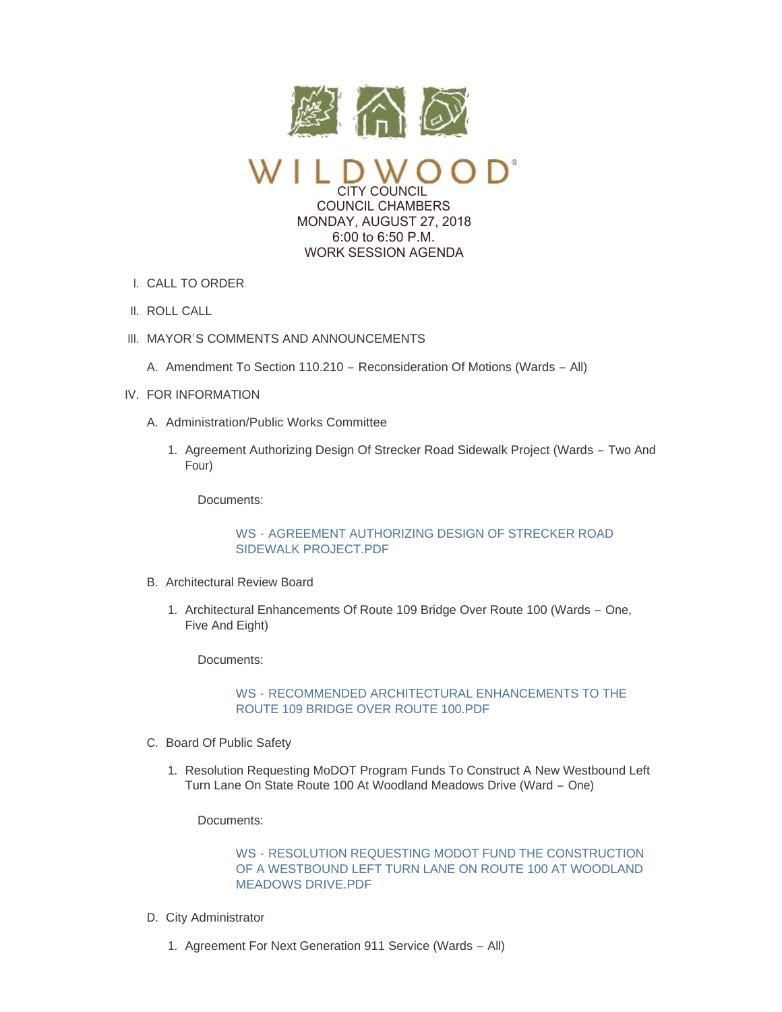

CITY COUNCIL COUNCIL CHAMBERS MONDAY, AUGUST 27, 2018 6:00 to 6:50 P.M. WORK SESSION AGENDA

- CALL TO ORDER I.
- II. ROLL CALL
- III. MAYOR'S COMMENTS AND ANNOUNCEMENTS
	- A. Amendment To Section 110.210 Reconsideration Of Motions (Wards All)
- IV. FOR INFORMATION
	- A. Administration/Public Works Committee
		- 1. Agreement Authorizing Design Of Strecker Road Sidewalk Project (Wards Two And Four)

Documents:

# WS - [AGREEMENT AUTHORIZING DESIGN OF STRECKER ROAD](https://www.cityofwildwood.com/AgendaCenter/ViewFile/Item/16828?fileID=24259)  SIDEWALK PROJECT.PDF

- B. Architectural Review Board
	- 1. Architectural Enhancements Of Route 109 Bridge Over Route 100 (Wards One, Five And Eight)

Documents:

# WS - [RECOMMENDED ARCHITECTURAL ENHANCEMENTS TO THE](https://www.cityofwildwood.com/AgendaCenter/ViewFile/Item/16830?fileID=24260)  ROUTE 109 BRIDGE OVER ROUTE 100.PDF

- C. Board Of Public Safety
	- 1. Resolution Requesting MoDOT Program Funds To Construct A New Westbound Left Turn Lane On State Route 100 At Woodland Meadows Drive (Ward – One)

Documents:

WS - RESOLUTION REQUESTING MODOT FUND THE CONSTRUCTION [OF A WESTBOUND LEFT TURN LANE ON ROUTE 100 AT WOODLAND](https://www.cityofwildwood.com/AgendaCenter/ViewFile/Item/16832?fileID=24261)  MEADOWS DRIVE.PDF

- D. City Administrator
	- 1. Agreement For Next Generation 911 Service (Wards All)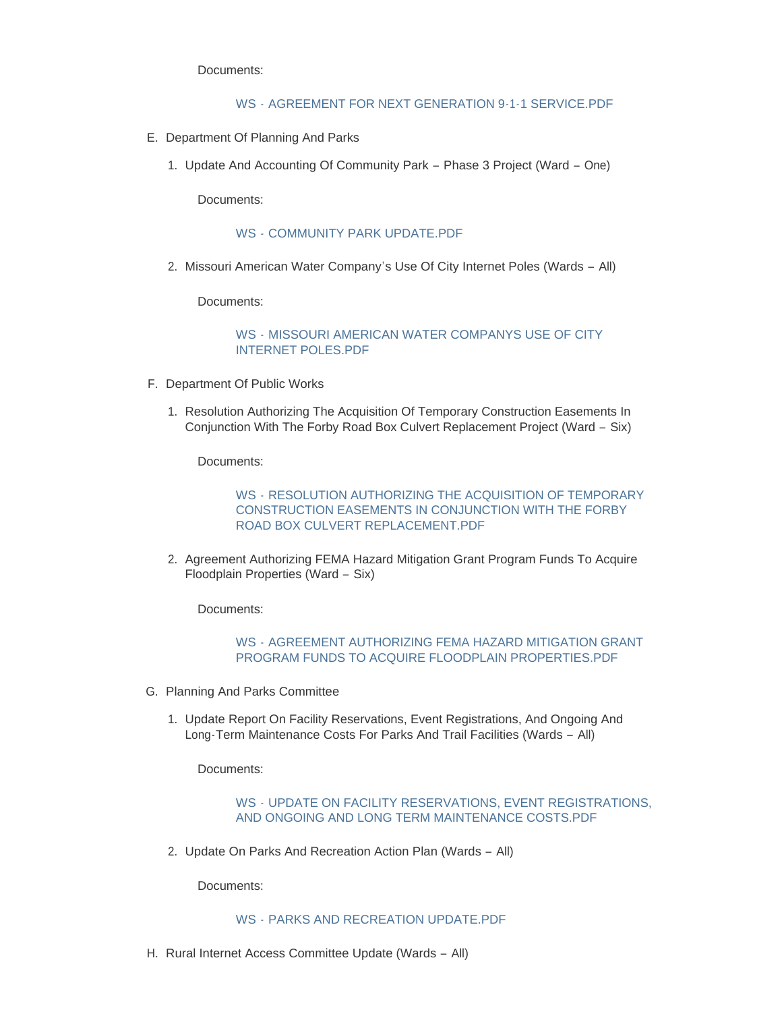Documents:

## WS - [AGREEMENT FOR NEXT GENERATION 9-1-1 SERVICE.PDF](https://www.cityofwildwood.com/AgendaCenter/ViewFile/Item/16834?fileID=24283)

- E. Department Of Planning And Parks
	- 1. Update And Accounting Of Community Park Phase 3 Project (Ward One)

Documents:

## WS - [COMMUNITY PARK UPDATE.PDF](https://www.cityofwildwood.com/AgendaCenter/ViewFile/Item/16836?fileID=24262)

2. Missouri American Water Company's Use Of City Internet Poles (Wards - All)

Documents:

WS - [MISSOURI AMERICAN WATER COMPANYS USE OF CITY](https://www.cityofwildwood.com/AgendaCenter/ViewFile/Item/16837?fileID=24263)  INTERNET POLES.PDF

- F. Department Of Public Works
	- 1. Resolution Authorizing The Acquisition Of Temporary Construction Easements In Conjunction With The Forby Road Box Culvert Replacement Project (Ward – Six)

Documents:

WS - RESOLUTION AUTHORIZING THE ACQUISITION OF TEMPORARY [CONSTRUCTION EASEMENTS IN CONJUNCTION WITH THE FORBY](https://www.cityofwildwood.com/AgendaCenter/ViewFile/Item/16839?fileID=24264)  ROAD BOX CULVERT REPLACEMENT.PDF

2. Agreement Authorizing FEMA Hazard Mitigation Grant Program Funds To Acquire Floodplain Properties (Ward – Six)

Documents:

WS - [AGREEMENT AUTHORIZING FEMA HAZARD MITIGATION GRANT](https://www.cityofwildwood.com/AgendaCenter/ViewFile/Item/16840?fileID=24265)  PROGRAM FUNDS TO ACQUIRE FLOODPLAIN PROPERTIES.PDF

- G. Planning And Parks Committee
	- 1. Update Report On Facility Reservations, Event Registrations, And Ongoing And Long-Term Maintenance Costs For Parks And Trail Facilities (Wards – All)

Documents:

WS - [UPDATE ON FACILITY RESERVATIONS, EVENT REGISTRATIONS,](https://www.cityofwildwood.com/AgendaCenter/ViewFile/Item/16842?fileID=24266)  AND ONGOING AND LONG TERM MAINTENANCE COSTS.PDF

2. Update On Parks And Recreation Action Plan (Wards - All)

Documents:

### WS - [PARKS AND RECREATION UPDATE.PDF](https://www.cityofwildwood.com/AgendaCenter/ViewFile/Item/16843?fileID=24267)

H. Rural Internet Access Committee Update (Wards - All)